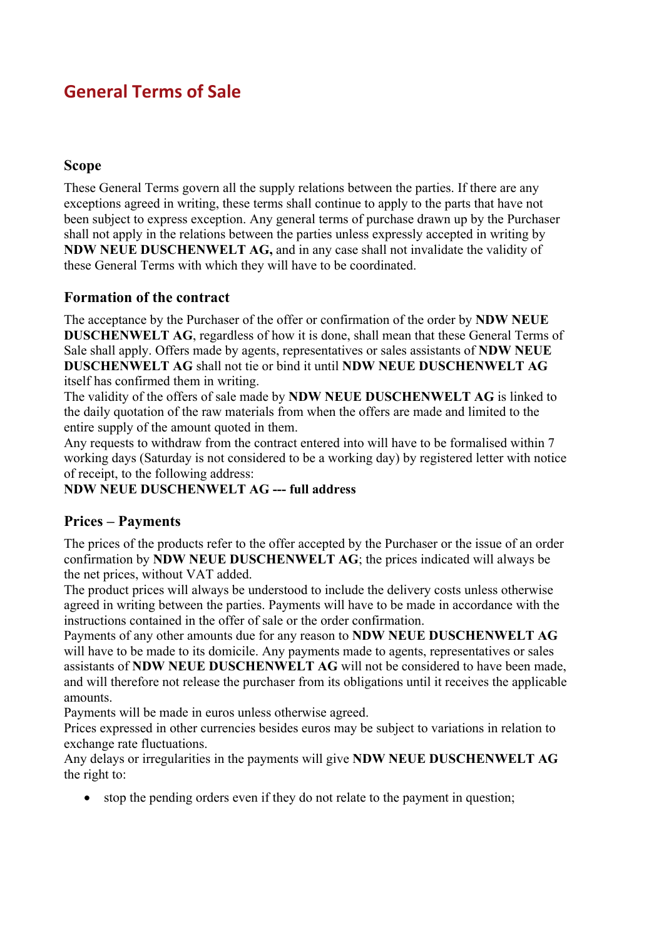# **General Terms of Sale**

#### **Scope**

These General Terms govern all the supply relations between the parties. If there are any exceptions agreed in writing, these terms shall continue to apply to the parts that have not been subject to express exception. Any general terms of purchase drawn up by the Purchaser shall not apply in the relations between the parties unless expressly accepted in writing by **NDW NEUE DUSCHENWELT AG,** and in any case shall not invalidate the validity of these General Terms with which they will have to be coordinated.

#### **Formation of the contract**

The acceptance by the Purchaser of the offer or confirmation of the order by **NDW NEUE DUSCHENWELT AG**, regardless of how it is done, shall mean that these General Terms of Sale shall apply. Offers made by agents, representatives or sales assistants of **NDW NEUE DUSCHENWELT AG** shall not tie or bind it until **NDW NEUE DUSCHENWELT AG**  itself has confirmed them in writing.

The validity of the offers of sale made by **NDW NEUE DUSCHENWELT AG** is linked to the daily quotation of the raw materials from when the offers are made and limited to the entire supply of the amount quoted in them.

Any requests to withdraw from the contract entered into will have to be formalised within 7 working days (Saturday is not considered to be a working day) by registered letter with notice of receipt, to the following address:

#### **NDW NEUE DUSCHENWELT AG --- full address**

#### **Prices – Payments**

The prices of the products refer to the offer accepted by the Purchaser or the issue of an order confirmation by **NDW NEUE DUSCHENWELT AG**; the prices indicated will always be the net prices, without VAT added.

The product prices will always be understood to include the delivery costs unless otherwise agreed in writing between the parties. Payments will have to be made in accordance with the instructions contained in the offer of sale or the order confirmation.

Payments of any other amounts due for any reason to **NDW NEUE DUSCHENWELT AG** will have to be made to its domicile. Any payments made to agents, representatives or sales assistants of **NDW NEUE DUSCHENWELT AG** will not be considered to have been made, and will therefore not release the purchaser from its obligations until it receives the applicable amounts.

Payments will be made in euros unless otherwise agreed.

Prices expressed in other currencies besides euros may be subject to variations in relation to exchange rate fluctuations.

Any delays or irregularities in the payments will give **NDW NEUE DUSCHENWELT AG** the right to:

• stop the pending orders even if they do not relate to the payment in question;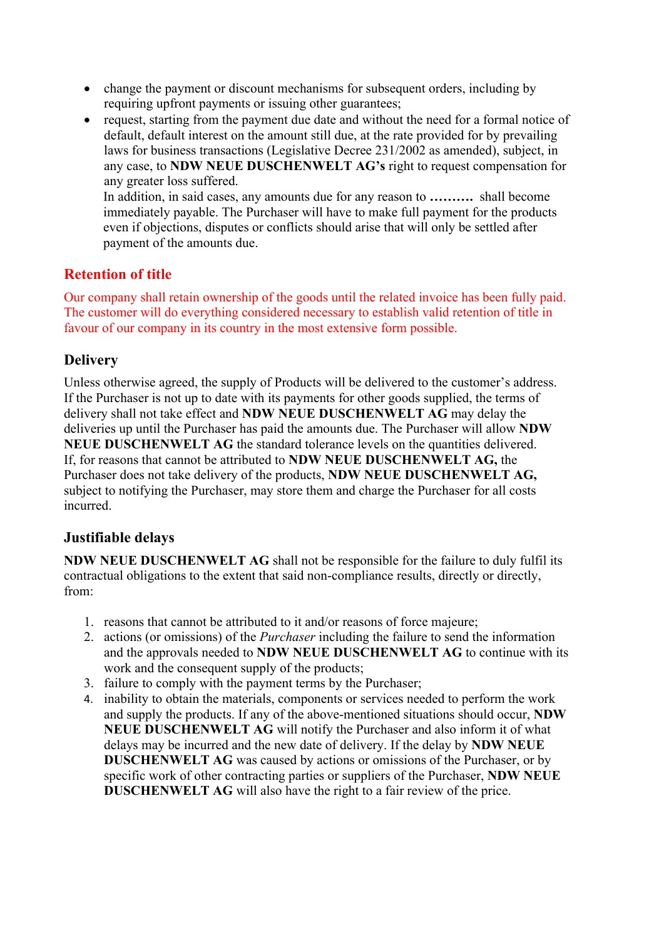- change the payment or discount mechanisms for subsequent orders, including by requiring upfront payments or issuing other guarantees;
- request, starting from the payment due date and without the need for a formal notice of default, default interest on the amount still due, at the rate provided for by prevailing laws for business transactions (Legislative Decree 231/2002 as amended), subject, in any case, to **NDW NEUE DUSCHENWELT AG's** right to request compensation for any greater loss suffered.

In addition, in said cases, any amounts due for any reason to **……….** shall become immediately payable. The Purchaser will have to make full payment for the products even if objections, disputes or conflicts should arise that will only be settled after payment of the amounts due.

#### **Retention of title**

Our company shall retain ownership of the goods until the related invoice has been fully paid. The customer will do everything considered necessary to establish valid retention of title in favour of our company in its country in the most extensive form possible.

### **Delivery**

Unless otherwise agreed, the supply of Products will be delivered to the customer's address. If the Purchaser is not up to date with its payments for other goods supplied, the terms of delivery shall not take effect and **NDW NEUE DUSCHENWELT AG** may delay the deliveries up until the Purchaser has paid the amounts due. The Purchaser will allow **NDW NEUE DUSCHENWELT AG** the standard tolerance levels on the quantities delivered. If, for reasons that cannot be attributed to **NDW NEUE DUSCHENWELT AG,** the Purchaser does not take delivery of the products, **NDW NEUE DUSCHENWELT AG,**  subject to notifying the Purchaser, may store them and charge the Purchaser for all costs incurred.

### **Justifiable delays**

**NDW NEUE DUSCHENWELT AG** shall not be responsible for the failure to duly fulfil its contractual obligations to the extent that said non-compliance results, directly or directly, from:

- 1. reasons that cannot be attributed to it and/or reasons of force majeure;
- 2. actions (or omissions) of the *Purchaser* including the failure to send the information and the approvals needed to **NDW NEUE DUSCHENWELT AG** to continue with its work and the consequent supply of the products;
- 3. failure to comply with the payment terms by the Purchaser;
- 4. inability to obtain the materials, components or services needed to perform the work and supply the products. If any of the above-mentioned situations should occur, **NDW NEUE DUSCHENWELT AG** will notify the Purchaser and also inform it of what delays may be incurred and the new date of delivery. If the delay by **NDW NEUE DUSCHENWELT AG** was caused by actions or omissions of the Purchaser, or by specific work of other contracting parties or suppliers of the Purchaser, **NDW NEUE DUSCHENWELT AG** will also have the right to a fair review of the price.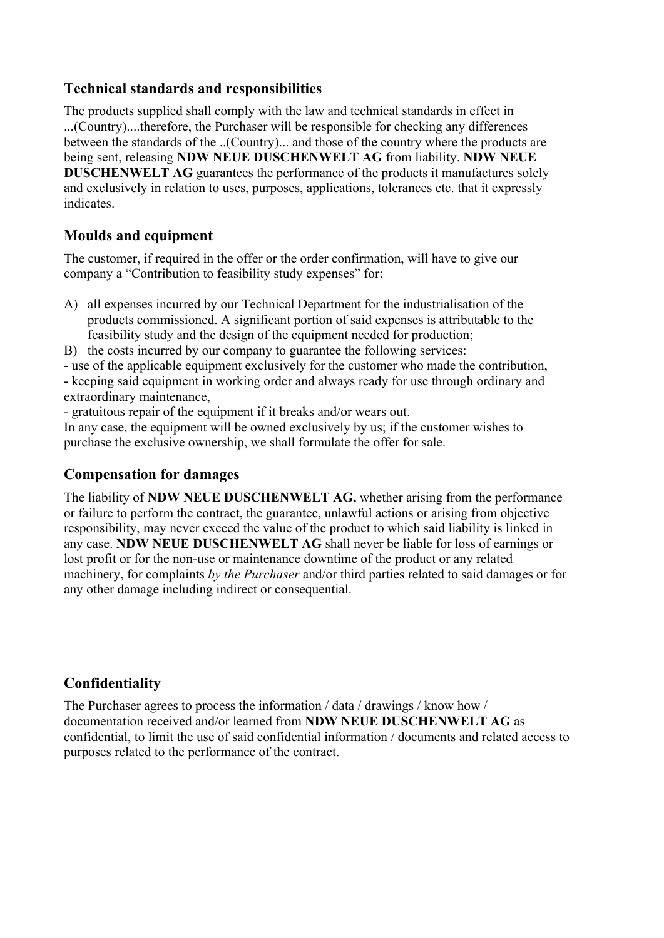#### **Technical standards and responsibilities**

The products supplied shall comply with the law and technical standards in effect in ...(Country)....therefore, the Purchaser will be responsible for checking any differences between the standards of the ..(Country)... and those of the country where the products are being sent, releasing **NDW NEUE DUSCHENWELT AG** from liability. **NDW NEUE DUSCHENWELT AG** guarantees the performance of the products it manufactures solely and exclusively in relation to uses, purposes, applications, tolerances etc. that it expressly indicates.

### **Moulds and equipment**

The customer, if required in the offer or the order confirmation, will have to give our company a "Contribution to feasibility study expenses" for:

- A) all expenses incurred by our Technical Department for the industrialisation of the products commissioned. A significant portion of said expenses is attributable to the feasibility study and the design of the equipment needed for production;
- B) the costs incurred by our company to guarantee the following services:

- use of the applicable equipment exclusively for the customer who made the contribution,

- keeping said equipment in working order and always ready for use through ordinary and extraordinary maintenance,

- gratuitous repair of the equipment if it breaks and/or wears out.

In any case, the equipment will be owned exclusively by us; if the customer wishes to purchase the exclusive ownership, we shall formulate the offer for sale.

### **Compensation for damages**

The liability of **NDW NEUE DUSCHENWELT AG,** whether arising from the performance or failure to perform the contract, the guarantee, unlawful actions or arising from objective responsibility, may never exceed the value of the product to which said liability is linked in any case. **NDW NEUE DUSCHENWELT AG** shall never be liable for loss of earnings or lost profit or for the non-use or maintenance downtime of the product or any related machinery, for complaints *by the Purchaser* and/or third parties related to said damages or for any other damage including indirect or consequential.

### **Confidentiality**

The Purchaser agrees to process the information / data / drawings / know how / documentation received and/or learned from **NDW NEUE DUSCHENWELT AG** as confidential, to limit the use of said confidential information / documents and related access to purposes related to the performance of the contract.